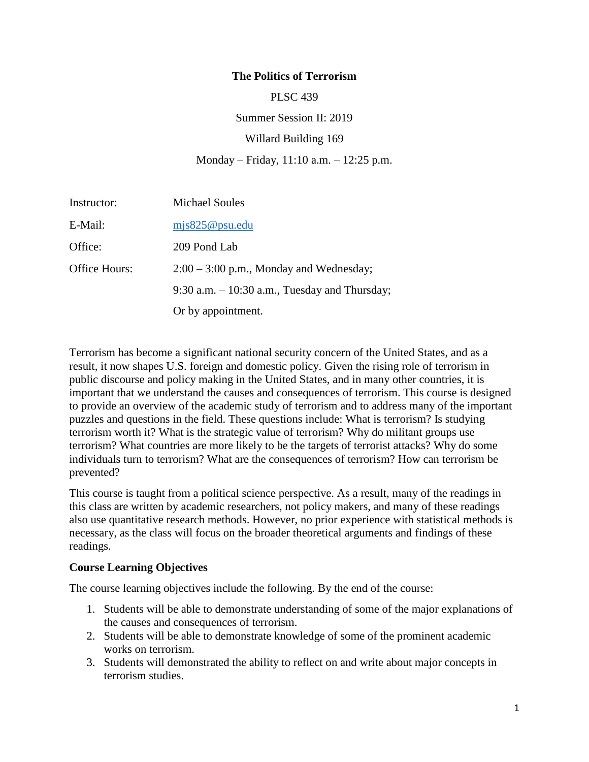### **The Politics of Terrorism**

PLSC 439

Summer Session II: 2019

Willard Building 169

#### Monday – Friday, 11:10 a.m. – 12:25 p.m.

| Instructor:   | <b>Michael Soules</b>                            |
|---------------|--------------------------------------------------|
| E-Mail:       | mjs825@psu.edu                                   |
| Office:       | 209 Pond Lab                                     |
| Office Hours: | $2:00 - 3:00$ p.m., Monday and Wednesday;        |
|               | $9:30$ a.m. $-10:30$ a.m., Tuesday and Thursday; |
|               | Or by appointment.                               |

Terrorism has become a significant national security concern of the United States, and as a result, it now shapes U.S. foreign and domestic policy. Given the rising role of terrorism in public discourse and policy making in the United States, and in many other countries, it is important that we understand the causes and consequences of terrorism. This course is designed to provide an overview of the academic study of terrorism and to address many of the important puzzles and questions in the field. These questions include: What is terrorism? Is studying terrorism worth it? What is the strategic value of terrorism? Why do militant groups use terrorism? What countries are more likely to be the targets of terrorist attacks? Why do some individuals turn to terrorism? What are the consequences of terrorism? How can terrorism be prevented?

This course is taught from a political science perspective. As a result, many of the readings in this class are written by academic researchers, not policy makers, and many of these readings also use quantitative research methods. However, no prior experience with statistical methods is necessary, as the class will focus on the broader theoretical arguments and findings of these readings.

#### **Course Learning Objectives**

The course learning objectives include the following. By the end of the course:

- 1. Students will be able to demonstrate understanding of some of the major explanations of the causes and consequences of terrorism.
- 2. Students will be able to demonstrate knowledge of some of the prominent academic works on terrorism.
- 3. Students will demonstrated the ability to reflect on and write about major concepts in terrorism studies.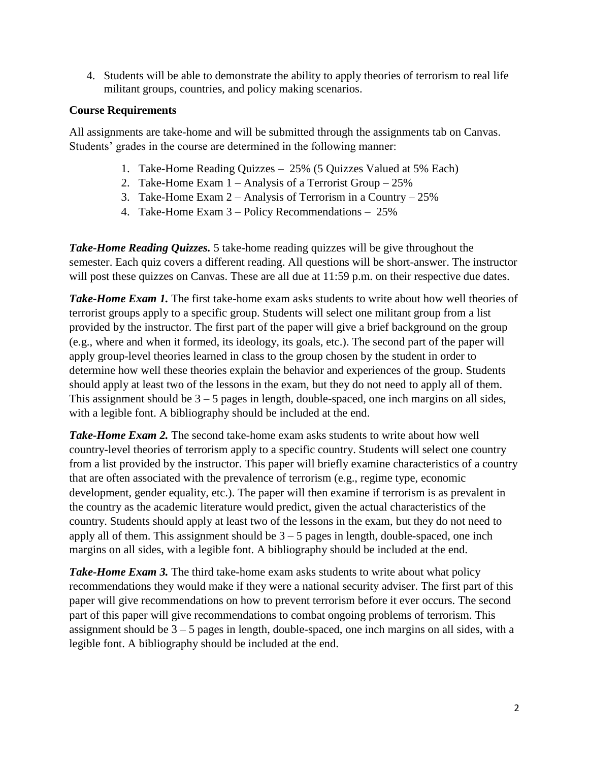4. Students will be able to demonstrate the ability to apply theories of terrorism to real life militant groups, countries, and policy making scenarios.

## **Course Requirements**

All assignments are take-home and will be submitted through the assignments tab on Canvas. Students' grades in the course are determined in the following manner:

- 1. Take-Home Reading Quizzes 25% (5 Quizzes Valued at 5% Each)
- 2. Take-Home Exam 1 Analysis of a Terrorist Group 25%
- 3. Take-Home Exam 2 Analysis of Terrorism in a Country 25%
- 4. Take-Home Exam 3 Policy Recommendations 25%

*Take-Home Reading Quizzes.* 5 take-home reading quizzes will be give throughout the semester. Each quiz covers a different reading. All questions will be short-answer. The instructor will post these quizzes on Canvas. These are all due at 11:59 p.m. on their respective due dates.

**Take-Home Exam 1.** The first take-home exam asks students to write about how well theories of terrorist groups apply to a specific group. Students will select one militant group from a list provided by the instructor. The first part of the paper will give a brief background on the group (e.g., where and when it formed, its ideology, its goals, etc.). The second part of the paper will apply group-level theories learned in class to the group chosen by the student in order to determine how well these theories explain the behavior and experiences of the group. Students should apply at least two of the lessons in the exam, but they do not need to apply all of them. This assignment should be  $3 - 5$  pages in length, double-spaced, one inch margins on all sides, with a legible font. A bibliography should be included at the end.

*Take-Home Exam 2.* The second take-home exam asks students to write about how well country-level theories of terrorism apply to a specific country. Students will select one country from a list provided by the instructor. This paper will briefly examine characteristics of a country that are often associated with the prevalence of terrorism (e.g., regime type, economic development, gender equality, etc.). The paper will then examine if terrorism is as prevalent in the country as the academic literature would predict, given the actual characteristics of the country. Students should apply at least two of the lessons in the exam, but they do not need to apply all of them. This assignment should be  $3 - 5$  pages in length, double-spaced, one inch margins on all sides, with a legible font. A bibliography should be included at the end.

*Take-Home Exam 3.* The third take-home exam asks students to write about what policy recommendations they would make if they were a national security adviser. The first part of this paper will give recommendations on how to prevent terrorism before it ever occurs. The second part of this paper will give recommendations to combat ongoing problems of terrorism. This assignment should be  $3 - 5$  pages in length, double-spaced, one inch margins on all sides, with a legible font. A bibliography should be included at the end.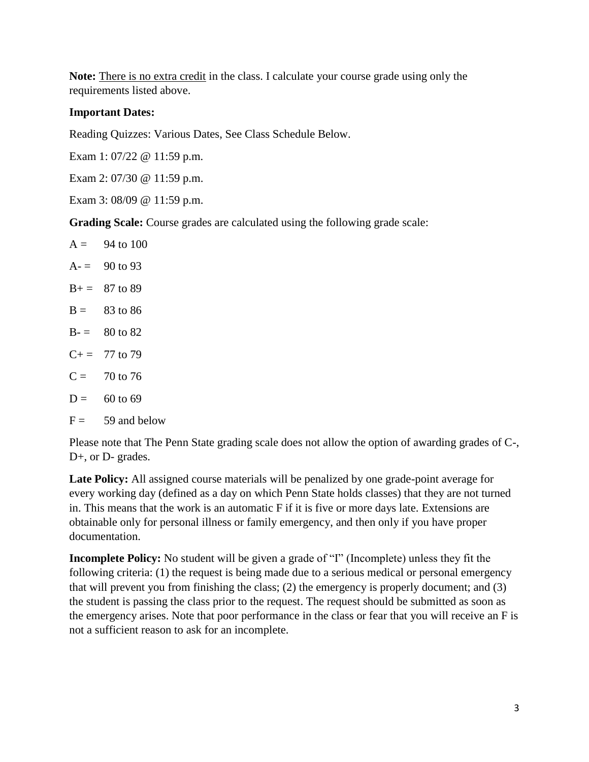**Note:** There is no extra credit in the class. I calculate your course grade using only the requirements listed above.

### **Important Dates:**

Reading Quizzes: Various Dates, See Class Schedule Below.

Exam 1: 07/22 @ 11:59 p.m.

Exam 2: 07/30 @ 11:59 p.m.

Exam 3: 08/09 @ 11:59 p.m.

**Grading Scale:** Course grades are calculated using the following grade scale:

 $A = 94$  to 100  $A = 90$  to 93  $B = 87$  to 89  $B = 83$  to 86  $B = 80$  to 82  $C+= 77$  to 79  $C = 70$  to 76  $D = 60$  to 69  $F = 59$  and below

Please note that The Penn State grading scale does not allow the option of awarding grades of C-, D+, or D- grades.

**Late Policy:** All assigned course materials will be penalized by one grade-point average for every working day (defined as a day on which Penn State holds classes) that they are not turned in. This means that the work is an automatic F if it is five or more days late. Extensions are obtainable only for personal illness or family emergency, and then only if you have proper documentation.

**Incomplete Policy:** No student will be given a grade of "I" (Incomplete) unless they fit the following criteria: (1) the request is being made due to a serious medical or personal emergency that will prevent you from finishing the class; (2) the emergency is properly document; and (3) the student is passing the class prior to the request. The request should be submitted as soon as the emergency arises. Note that poor performance in the class or fear that you will receive an F is not a sufficient reason to ask for an incomplete.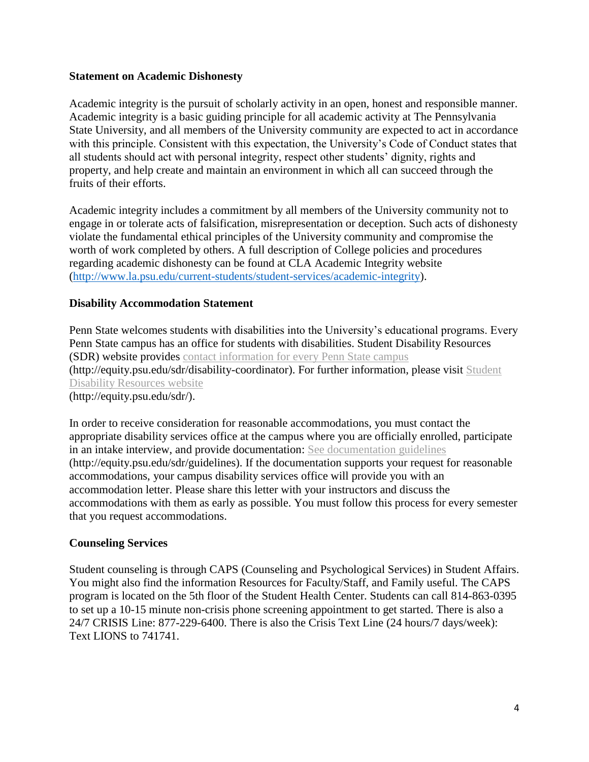#### **Statement on Academic Dishonesty**

Academic integrity is the pursuit of scholarly activity in an open, honest and responsible manner. Academic integrity is a basic guiding principle for all academic activity at The Pennsylvania State University, and all members of the University community are expected to act in accordance with this principle. Consistent with this expectation, the University's Code of Conduct states that all students should act with personal integrity, respect other students' dignity, rights and property, and help create and maintain an environment in which all can succeed through the fruits of their efforts.

Academic integrity includes a commitment by all members of the University community not to engage in or tolerate acts of falsification, misrepresentation or deception. Such acts of dishonesty violate the fundamental ethical principles of the University community and compromise the worth of work completed by others. A full description of College policies and procedures regarding academic dishonesty can be found at CLA Academic Integrity website [\(http://www.la.psu.edu/current-students/student-services/academic-integrity\)](http://www.la.psu.edu/current-students/student-services/academic-integrity).

### **Disability Accommodation Statement**

Penn State welcomes students with disabilities into the University's educational programs. Every Penn State campus has an office for students with disabilities. Student Disability Resources (SDR) website provides contact [information](http://equity.psu.edu/sdr/disability-coordinator) for every Penn State campus (http://equity.psu.edu/sdr/disability-coordinator). For further information, please visit [Student](http://equity.psu.edu/sdr/) Disability [Resources](http://equity.psu.edu/sdr/) website (http://equity.psu.edu/sdr/).

In order to receive consideration for reasonable accommodations, you must contact the appropriate disability services office at the campus where you are officially enrolled, participate in an intake interview, and provide documentation: See [documentation](http://equity.psu.edu/sdr/guidelines) guidelines (http://equity.psu.edu/sdr/guidelines). If the documentation supports your request for reasonable accommodations, your campus disability services office will provide you with an accommodation letter. Please share this letter with your instructors and discuss the accommodations with them as early as possible. You must follow this process for every semester that you request accommodations.

#### **Counseling Services**

Student counseling is through CAPS (Counseling and Psychological Services) in Student Affairs. You might also find the information Resources for Faculty/Staff, and Family useful. The CAPS program is located on the 5th floor of the Student Health Center. Students can call 814-863-0395 to set up a 10-15 minute non-crisis phone screening appointment to get started. There is also a 24/7 CRISIS Line: 877-229-6400. There is also the Crisis Text Line (24 hours/7 days/week): Text LIONS to 741741.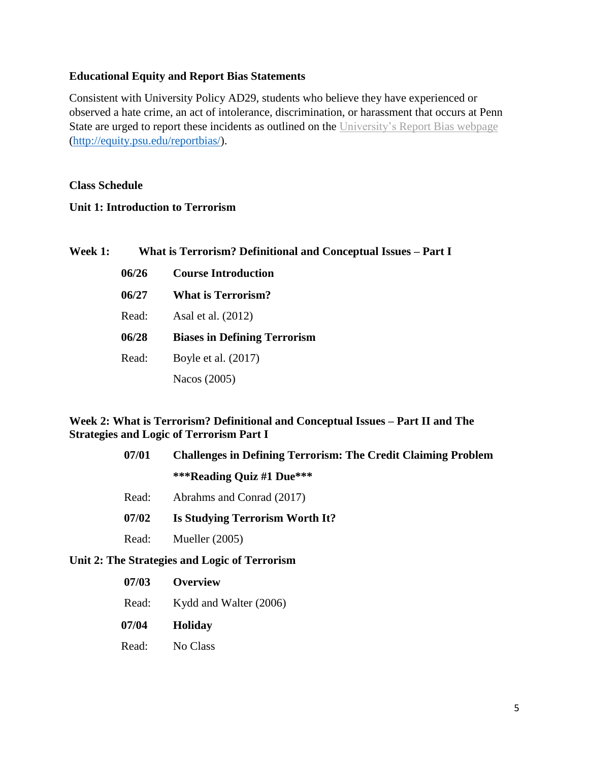### **Educational Equity and Report Bias Statements**

Consistent with University Policy AD29, students who believe they have experienced or observed a hate crime, an act of intolerance, discrimination, or harassment that occurs at Penn State are urged to report these incidents as outlined on the [University's](http://equity.psu.edu/reportbias) Report Bias webpage [\(http://equity.psu.edu/reportbias/\)](http://equity.psu.edu/reportbias/).

### **Class Schedule**

### **Unit 1: Introduction to Terrorism**

| <b>Week 1:</b> | What is Terrorism? Definitional and Conceptual Issues - Part I |                                     |
|----------------|----------------------------------------------------------------|-------------------------------------|
|                | 06/26                                                          | <b>Course Introduction</b>          |
|                | 06/27                                                          | <b>What is Terrorism?</b>           |
|                | Read:                                                          | Asal et al. (2012)                  |
|                | 06/28                                                          | <b>Biases in Defining Terrorism</b> |
|                | Read:                                                          | Boyle et al. $(2017)$               |
|                |                                                                | Nacos (2005)                        |

### **Week 2: What is Terrorism? Definitional and Conceptual Issues – Part II and The Strategies and Logic of Terrorism Part I**

| 07/01 | <b>Challenges in Defining Terrorism: The Credit Claiming Problem</b> |
|-------|----------------------------------------------------------------------|
|       | ***Reading Quiz #1 Due***                                            |
| Read: | Abrahms and Conrad (2017)                                            |
| 07/02 | Is Studying Terrorism Worth It?                                      |
| Read: | Mueller $(2005)$                                                     |
|       |                                                                      |

#### **Unit 2: The Strategies and Logic of Terrorism**

- **07/03 Overview**
- Read: Kydd and Walter (2006)
- **07/04 Holiday**
- Read: No Class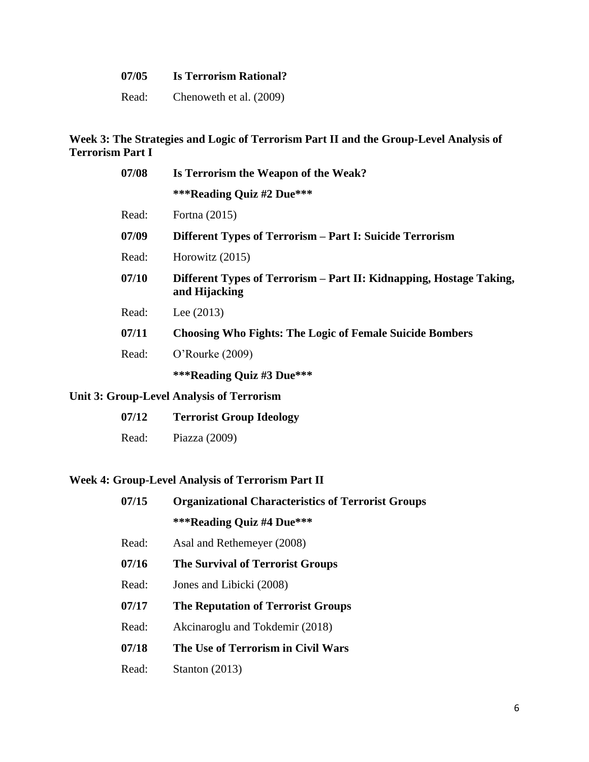| 07/05 | <b>Is Terrorism Rational?</b> |
|-------|-------------------------------|
| Read: | Chenoweth et al. (2009)       |

### **Week 3: The Strategies and Logic of Terrorism Part II and the Group-Level Analysis of Terrorism Part I**

| 07/08 | Is Terrorism the Weapon of the Weak?                                                 |  |
|-------|--------------------------------------------------------------------------------------|--|
|       | ***Reading Quiz #2 Due***                                                            |  |
| Read: | Fortna (2015)                                                                        |  |
| 07/09 | Different Types of Terrorism – Part I: Suicide Terrorism                             |  |
| Read: | Horowitz $(2015)$                                                                    |  |
| 07/10 | Different Types of Terrorism – Part II: Kidnapping, Hostage Taking,<br>and Hijacking |  |
| Read: | Lee $(2013)$                                                                         |  |
| 07/11 | <b>Choosing Who Fights: The Logic of Female Suicide Bombers</b>                      |  |
| Read: | $O'$ Rourke $(2009)$                                                                 |  |
|       | ***Reading Quiz #3 Due***                                                            |  |

# **Unit 3: Group-Level Analysis of Terrorism**

| 07/12 | <b>Terrorist Group Ideology</b> |
|-------|---------------------------------|
| Read: | Piazza $(2009)$                 |

## **Week 4: Group-Level Analysis of Terrorism Part II**

| 07/15 | <b>Organizational Characteristics of Terrorist Groups</b> |
|-------|-----------------------------------------------------------|
|       | ***Reading Quiz #4 Due***                                 |
| Read: | Asal and Rethemeyer (2008)                                |
| 07/16 | <b>The Survival of Terrorist Groups</b>                   |
| Read: | Jones and Libicki (2008)                                  |
| 07/17 | <b>The Reputation of Terrorist Groups</b>                 |
| Read: | Akcinaroglu and Tokdemir (2018)                           |
| 07/18 | The Use of Terrorism in Civil Wars                        |
| Read: | Stanton $(2013)$                                          |
|       |                                                           |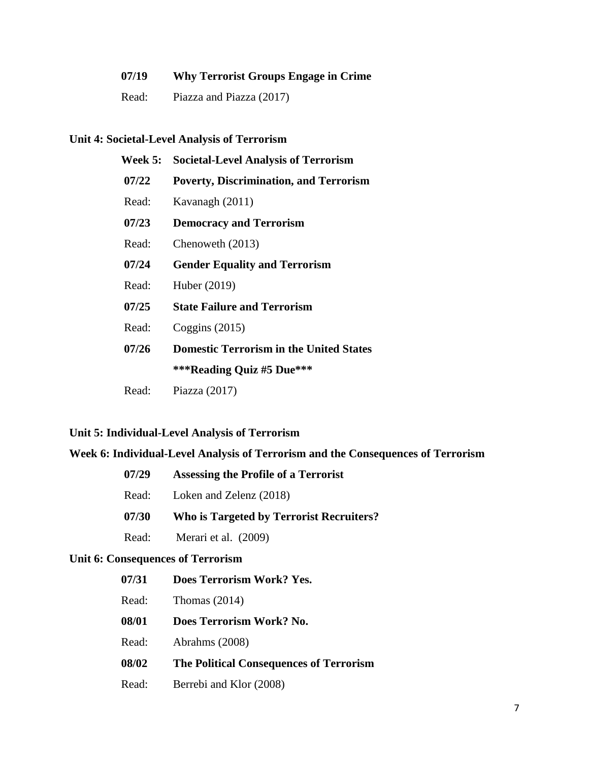| 07/19 | <b>Why Terrorist Groups Engage in Crime</b> |
|-------|---------------------------------------------|
| Read: | Piazza and Piazza (2017)                    |

## **Unit 4: Societal-Level Analysis of Terrorism**

| <b>Week 5:</b> | <b>Societal-Level Analysis of Terrorism</b>    |
|----------------|------------------------------------------------|
| 07/22          | <b>Poverty, Discrimination, and Terrorism</b>  |
| Read:          | Kavanagh (2011)                                |
| 07/23          | <b>Democracy and Terrorism</b>                 |
| Read:          | Chenoweth (2013)                               |
| 07/24          | <b>Gender Equality and Terrorism</b>           |
| Read:          | Huber (2019)                                   |
| 07/25          | <b>State Failure and Terrorism</b>             |
| Read:          | Coggins $(2015)$                               |
| 07/26          | <b>Domestic Terrorism in the United States</b> |
|                | ***Reading Quiz #5 Due***                      |
| Read:          | Piazza $(2017)$                                |

# **Unit 5: Individual-Level Analysis of Terrorism**

# **Week 6: Individual-Level Analysis of Terrorism and the Consequences of Terrorism**

| 07/29 | Assessing the Profile of a Terrorist            |
|-------|-------------------------------------------------|
| Read: | Loken and Zelenz (2018)                         |
| 07/30 | <b>Who is Targeted by Terrorist Recruiters?</b> |
| Read: | Merari et al. (2009)                            |

## **Unit 6: Consequences of Terrorism**

| 07/31 | Does Terrorism Work? Yes.               |
|-------|-----------------------------------------|
| Read: | Thomas $(2014)$                         |
| 08/01 | Does Terrorism Work? No.                |
| Read: | Abrahms (2008)                          |
| 08/02 | The Political Consequences of Terrorism |
| Read: | Berrebi and Klor (2008)                 |